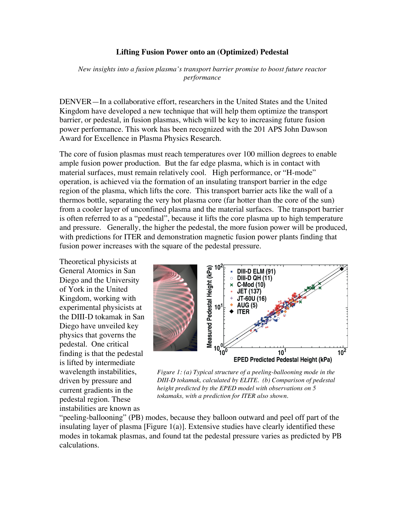## **Lifting Fusion Power onto an (Optimized) Pedestal**

*New insights into a fusion plasma's transport barrier promise to boost future reactor performance*

DENVER—In a collaborative effort, researchers in the United States and the United Kingdom have developed a new technique that will help them optimize the transport barrier, or pedestal, in fusion plasmas, which will be key to increasing future fusion power performance. This work has been recognized with the 201 APS John Dawson Award for Excellence in Plasma Physics Research.

The core of fusion plasmas must reach temperatures over 100 million degrees to enable ample fusion power production. But the far edge plasma, which is in contact with material surfaces, must remain relatively cool. High performance, or "H-mode" operation, is achieved via the formation of an insulating transport barrier in the edge region of the plasma, which lifts the core. This transport barrier acts like the wall of a thermos bottle, separating the very hot plasma core (far hotter than the core of the sun) from a cooler layer of unconfined plasma and the material surfaces. The transport barrier is often referred to as a "pedestal", because it lifts the core plasma up to high temperature and pressure. Generally, the higher the pedestal, the more fusion power will be produced, with predictions for ITER and demonstration magnetic fusion power plants finding that fusion power increases with the square of the pedestal pressure.

Theoretical physicists at General Atomics in San Diego and the University of York in the United Kingdom, working with experimental physicists at the DIII-D tokamak in San Diego have unveiled key physics that governs the pedestal. One critical finding is that the pedestal is lifted by intermediate wavelength instabilities, driven by pressure and current gradients in the pedestal region. These instabilities are known as



*Figure 1: (a) Typical structure of a peeling-ballooning mode in the DIII-D tokamak, calculated by ELITE. (b) Comparison of pedestal height predicted by the EPED model with observations on 5 tokamaks, with a prediction for ITER also shown.*

"peeling-ballooning" (PB) modes, because they balloon outward and peel off part of the insulating layer of plasma  $[Figure 1(a)]$ . Extensive studies have clearly identified these modes in tokamak plasmas, and found tat the pedestal pressure varies as predicted by PB calculations.